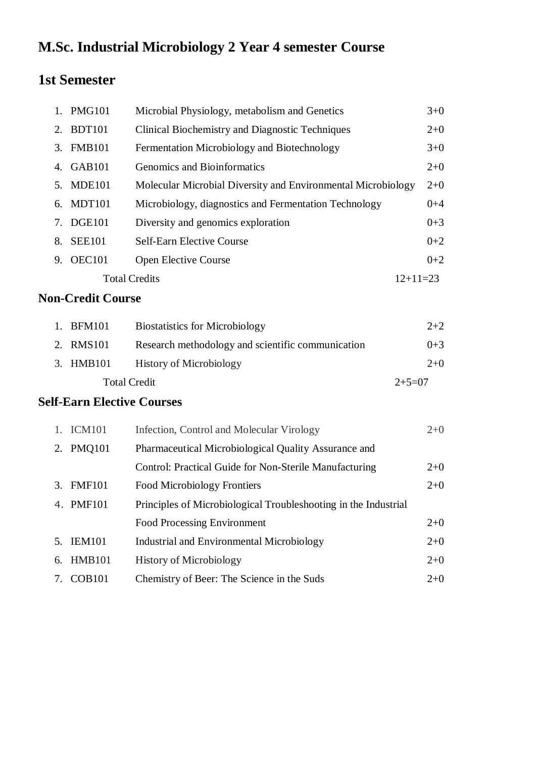# **M.Sc. Industrial Microbiology 2 Year 4 semester Course**

## **1st Semester**

|    | 1. PMG101            | Microbial Physiology, metabolism and Genetics                | $3 + 0$    |
|----|----------------------|--------------------------------------------------------------|------------|
|    | 2. BDT101            | Clinical Biochemistry and Diagnostic Techniques              | $2+0$      |
|    | 3. FMB101            | Fermentation Microbiology and Biotechnology                  | $3+0$      |
|    | 4. GAB101            | Genomics and Bioinformatics                                  | $2+0$      |
|    | 5. MDE101            | Molecular Microbial Diversity and Environmental Microbiology | $2+0$      |
|    | 6. MDT101            | Microbiology, diagnostics and Fermentation Technology        | $0 + 4$    |
|    | 7. DGE101            | Diversity and genomics exploration                           | $0 + 3$    |
| 8. | <b>SEE101</b>        | <b>Self-Earn Elective Course</b>                             | $0+2$      |
|    | 9. OEC101            | <b>Open Elective Course</b>                                  | $0+2$      |
|    | <b>Total Credits</b> |                                                              | $12+11=23$ |

### **Non-Credit Course**

| 1. BFM101           | <b>Biostatistics for Microbiology</b>             | $2+2$    |
|---------------------|---------------------------------------------------|----------|
| 2. RMS101           | Research methodology and scientific communication | $0+3$    |
| 3. HMB101           | <b>History of Microbiology</b>                    | $2+0$    |
| <b>Total Credit</b> |                                                   | $2+5=07$ |

#### **Self-Earn Elective Courses**

|    | 1. ICM101          | Infection, Control and Molecular Virology                       | $2+0$ |
|----|--------------------|-----------------------------------------------------------------|-------|
| 2. | <b>PMQ101</b>      | Pharmaceutical Microbiological Quality Assurance and            |       |
|    |                    | Control: Practical Guide for Non-Sterile Manufacturing          | $2+0$ |
|    | 3. FMF101          | <b>Food Microbiology Frontiers</b>                              | $2+0$ |
|    | 4. PMF101          | Principles of Microbiological Troubleshooting in the Industrial |       |
|    |                    | <b>Food Processing Environment</b>                              | $2+0$ |
|    | 5. IEM101          | <b>Industrial and Environmental Microbiology</b>                | $2+0$ |
| 6. | HMB101             | <b>History of Microbiology</b>                                  | $2+0$ |
| 7. | COB <sub>101</sub> | Chemistry of Beer: The Science in the Suds                      | $2+0$ |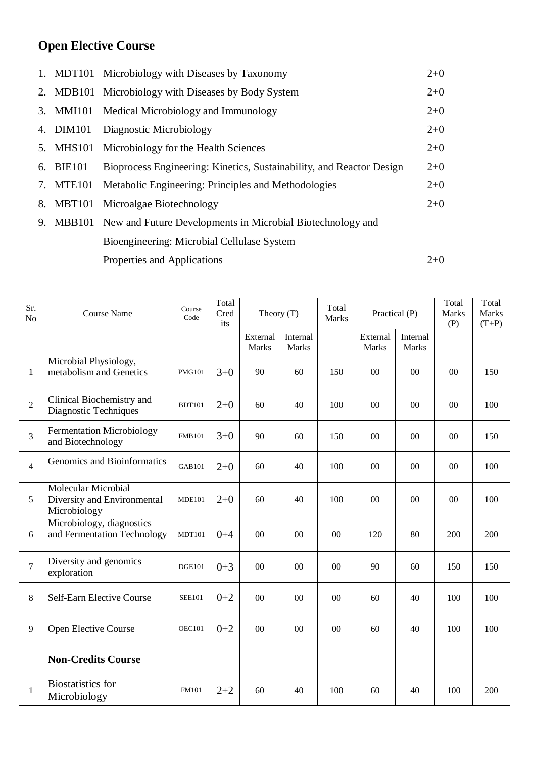# **Open Elective Course**

|           | 1. MDT101 Microbiology with Diseases by Taxonomy                     | $2+0$ |
|-----------|----------------------------------------------------------------------|-------|
|           | 2. MDB101 Microbiology with Diseases by Body System                  | $2+0$ |
|           | 3. MMI101 Medical Microbiology and Immunology                        | $2+0$ |
| 4. DIM101 | Diagnostic Microbiology                                              | $2+0$ |
|           | 5. MHS101 Microbiology for the Health Sciences                       | $2+0$ |
| 6. BIE101 | Bioprocess Engineering: Kinetics, Sustainability, and Reactor Design | $2+0$ |
|           | 7. MTE101 Metabolic Engineering: Principles and Methodologies        | $2+0$ |
|           | 8. MBT101 Microalgae Biotechnology                                   | $2+0$ |
|           | 9. MBB101 New and Future Developments in Microbial Biotechnology and |       |
|           | Bioengineering: Microbial Cellulase System                           |       |
|           | Properties and Applications                                          | $2+0$ |
|           |                                                                      |       |

| Sr.<br>N <sub>o</sub> | <b>Course Name</b>                                                 | Course<br>Code | Total<br>Cred<br>its | Theory $(T)$      |                   | Total<br><b>Marks</b> | Practical (P)            |                          | Total<br><b>Marks</b><br>(P) | Total<br><b>Marks</b><br>$(T+P)$ |
|-----------------------|--------------------------------------------------------------------|----------------|----------------------|-------------------|-------------------|-----------------------|--------------------------|--------------------------|------------------------------|----------------------------------|
|                       |                                                                    |                |                      | External<br>Marks | Internal<br>Marks |                       | External<br><b>Marks</b> | Internal<br><b>Marks</b> |                              |                                  |
| $\mathbf{1}$          | Microbial Physiology,<br>metabolism and Genetics                   | <b>PMG101</b>  | $3+0$                | 90                | 60                | 150                   | $00\,$                   | 00                       | $00\,$                       | 150                              |
| $\overline{2}$        | Clinical Biochemistry and<br>Diagnostic Techniques                 | <b>BDT101</b>  | $2+0$                | 60                | 40                | 100                   | $00\,$                   | 00                       | $00\,$                       | 100                              |
| 3                     | <b>Fermentation Microbiology</b><br>and Biotechnology              | <b>FMB101</b>  | $3 + 0$              | 90                | 60                | 150                   | $00\,$                   | 00                       | $00\,$                       | 150                              |
| $\overline{4}$        | Genomics and Bioinformatics                                        | <b>GAB101</b>  | $2+0$                | 60                | 40                | 100                   | $00\,$                   | 00                       | $00\,$                       | 100                              |
| 5                     | Molecular Microbial<br>Diversity and Environmental<br>Microbiology | <b>MDE101</b>  | $2 + 0$              | 60                | 40                | 100                   | $00\,$                   | 00                       | $00\,$                       | 100                              |
| 6                     | Microbiology, diagnostics<br>and Fermentation Technology           | <b>MDT101</b>  | $0 + 4$              | $00\,$            | $00\,$            | 00                    | 120                      | 80                       | 200                          | 200                              |
| $\overline{7}$        | Diversity and genomics<br>exploration                              | <b>DGE101</b>  | $0 + 3$              | $00\,$            | $00\,$            | 00                    | 90                       | 60                       | 150                          | 150                              |
| 8                     | Self-Earn Elective Course                                          | <b>SEE101</b>  | $0 + 2$              | $00\,$            | 00                | 00                    | 60                       | 40                       | 100                          | 100                              |
| 9                     | Open Elective Course                                               | <b>OEC101</b>  | $0 + 2$              | $00\,$            | 00                | 0 <sup>0</sup>        | 60                       | 40                       | 100                          | 100                              |
|                       | <b>Non-Credits Course</b>                                          |                |                      |                   |                   |                       |                          |                          |                              |                                  |
| $\mathbf{1}$          | <b>Biostatistics</b> for<br>Microbiology                           | <b>FM101</b>   | $2 + 2$              | 60                | 40                | 100                   | 60                       | 40                       | 100                          | 200                              |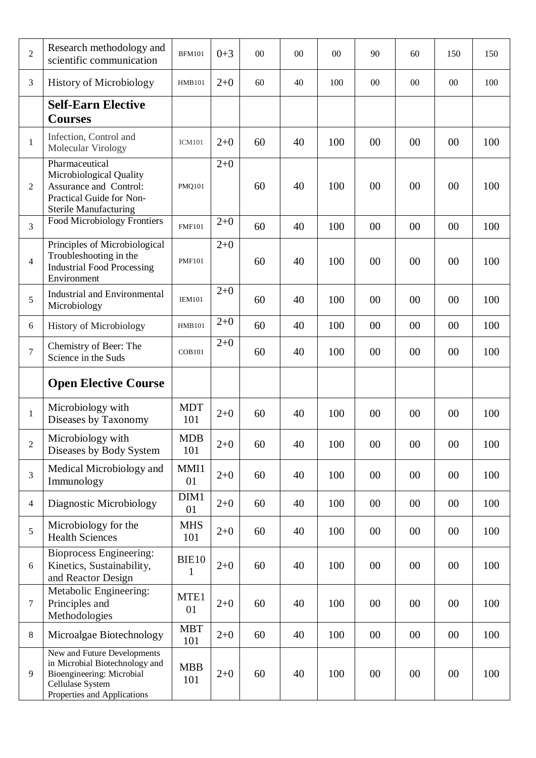| $\overline{2}$ | Research methodology and<br>scientific communication                                                                            | <b>BFM101</b>         | $0 + 3$ | 00 | 00 | 00  | 90     | 60     | 150    | 150 |
|----------------|---------------------------------------------------------------------------------------------------------------------------------|-----------------------|---------|----|----|-----|--------|--------|--------|-----|
| 3              | <b>History of Microbiology</b>                                                                                                  | <b>HMB101</b>         | $2+0$   | 60 | 40 | 100 | 00     | 00     | 00     | 100 |
|                | <b>Self-Earn Elective</b><br><b>Courses</b>                                                                                     |                       |         |    |    |     |        |        |        |     |
| 1              | Infection, Control and<br>Molecular Virology                                                                                    | <b>ICM101</b>         | $2+0$   | 60 | 40 | 100 | 00     | 00     | 00     | 100 |
| $\overline{2}$ | Pharmaceutical<br>Microbiological Quality<br>Assurance and Control:<br>Practical Guide for Non-<br><b>Sterile Manufacturing</b> | <b>PMQ101</b>         | $2 + 0$ | 60 | 40 | 100 | 00     | 00     | 00     | 100 |
| 3              | <b>Food Microbiology Frontiers</b>                                                                                              | <b>FMF101</b>         | $2 + 0$ | 60 | 40 | 100 | 00     | 00     | 00     | 100 |
| $\overline{4}$ | Principles of Microbiological<br>Troubleshooting in the<br><b>Industrial Food Processing</b><br>Environment                     | <b>PMF101</b>         | $2+0$   | 60 | 40 | 100 | 00     | 00     | 00     | 100 |
| 5              | <b>Industrial and Environmental</b><br>Microbiology                                                                             | <b>IEM101</b>         | $2 + 0$ | 60 | 40 | 100 | 00     | 00     | 00     | 100 |
| 6              | <b>History of Microbiology</b>                                                                                                  | <b>HMB101</b>         | $2 + 0$ | 60 | 40 | 100 | 00     | 00     | 00     | 100 |
| $\tau$         | Chemistry of Beer: The<br>Science in the Suds                                                                                   | <b>COB101</b>         | $2 + 0$ | 60 | 40 | 100 | 00     | 00     | 00     | 100 |
|                |                                                                                                                                 |                       |         |    |    |     |        |        |        |     |
|                | <b>Open Elective Course</b>                                                                                                     |                       |         |    |    |     |        |        |        |     |
| $\mathbf{1}$   | Microbiology with<br>Diseases by Taxonomy                                                                                       | <b>MDT</b><br>101     | $2 + 0$ | 60 | 40 | 100 | 00     | 00     | 00     | 100 |
| 2              | Microbiology with<br>Diseases by Body System                                                                                    | <b>MDB</b><br>101     | $2 + 0$ | 60 | 40 | 100 | $00\,$ | $00\,$ | $00\,$ | 100 |
| 3              | Medical Microbiology and<br>Immunology                                                                                          | MMI1<br>01            | $2 + 0$ | 60 | 40 | 100 | $00\,$ | 00     | 00     | 100 |
| $\overline{4}$ | Diagnostic Microbiology                                                                                                         | DIM1<br>01            | $2 + 0$ | 60 | 40 | 100 | $00\,$ | 00     | 00     | 100 |
| 5              | Microbiology for the<br><b>Health Sciences</b>                                                                                  | <b>MHS</b><br>101     | $2 + 0$ | 60 | 40 | 100 | 00     | 00     | 00     | 100 |
| 6              | <b>Bioprocess Engineering:</b><br>Kinetics, Sustainability,<br>and Reactor Design                                               | BIE10<br>$\mathbf{1}$ | $2 + 0$ | 60 | 40 | 100 | 00     | 00     | 00     | 100 |
| $\tau$         | Metabolic Engineering:<br>Principles and<br>Methodologies                                                                       | MTE1<br>01            | $2 + 0$ | 60 | 40 | 100 | 00     | 00     | 00     | 100 |
| 8              | Microalgae Biotechnology                                                                                                        | <b>MBT</b><br>101     | $2 + 0$ | 60 | 40 | 100 | $00\,$ | 00     | 00     | 100 |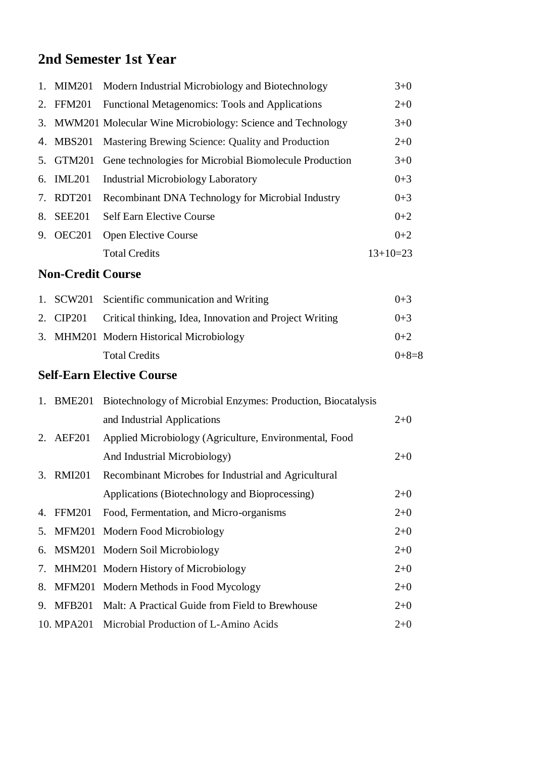# **2nd Semester 1st Year**

| 1. | <b>MIM201</b>            | Modern Industrial Microbiology and Biotechnology             | $3 + 0$    |
|----|--------------------------|--------------------------------------------------------------|------------|
| 2. | <b>FFM201</b>            | Functional Metagenomics: Tools and Applications              | $2+0$      |
| 3. |                          | MWM201 Molecular Wine Microbiology: Science and Technology   | $3+0$      |
| 4. | <b>MBS201</b>            | Mastering Brewing Science: Quality and Production            | $2+0$      |
| 5. | <b>GTM201</b>            | Gene technologies for Microbial Biomolecule Production       | $3+0$      |
| 6. | <b>IML201</b>            | <b>Industrial Microbiology Laboratory</b>                    | $0 + 3$    |
| 7. | <b>RDT201</b>            | Recombinant DNA Technology for Microbial Industry            | $0 + 3$    |
| 8. | <b>SEE201</b>            | <b>Self Earn Elective Course</b>                             | $0 + 2$    |
|    | 9. OEC201                | Open Elective Course                                         | $0 + 2$    |
|    |                          | <b>Total Credits</b>                                         | $13+10=23$ |
|    | <b>Non-Credit Course</b> |                                                              |            |
| 1. |                          | SCW201 Scientific communication and Writing                  | $0 + 3$    |
| 2. | <b>CIP201</b>            | Critical thinking, Idea, Innovation and Project Writing      | $0 + 3$    |
|    |                          | 3. MHM201 Modern Historical Microbiology                     | $0 + 2$    |
|    |                          | <b>Total Credits</b>                                         | $0+8=8$    |
|    |                          | <b>Self-Earn Elective Course</b>                             |            |
|    | 1. BME201                | Biotechnology of Microbial Enzymes: Production, Biocatalysis |            |
|    |                          | and Industrial Applications                                  | $2 + 0$    |
| 2. | <b>AEF201</b>            | Applied Microbiology (Agriculture, Environmental, Food       |            |
|    |                          | And Industrial Microbiology)                                 | $2 + 0$    |
| 3. | <b>RMI201</b>            | Recombinant Microbes for Industrial and Agricultural         |            |
|    |                          | Applications (Biotechnology and Bioprocessing)               | $2 + 0$    |
| 4. | <b>FFM201</b>            | Food, Fermentation, and Micro-organisms                      | $2+0$      |
| 5. | <b>MFM201</b>            | Modern Food Microbiology                                     | $2 + 0$    |
| 6. | <b>MSM201</b>            | Modern Soil Microbiology                                     | $2 + 0$    |
| 7. | <b>MHM201</b>            | Modern History of Microbiology                               | $2 + 0$    |
| 8. | <b>MFM201</b>            | Modern Methods in Food Mycology                              | $2+0$      |
| 9. | <b>MFB201</b>            | Malt: A Practical Guide from Field to Brewhouse              | $2+0$      |
|    | 10. MPA201               | Microbial Production of L-Amino Acids                        | $2+0$      |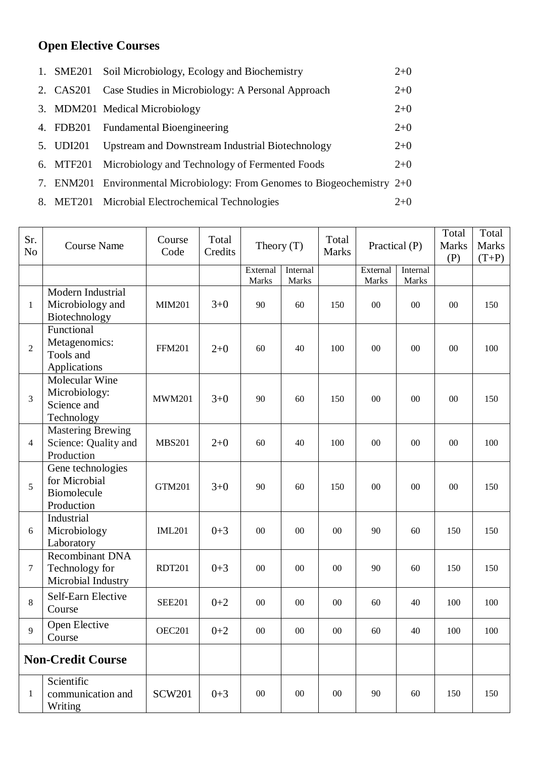### **Open Elective Courses**

| 1. SME201 | Soil Microbiology, Ecology and Biochemistry                               | $2+0$ |
|-----------|---------------------------------------------------------------------------|-------|
| 2. CAS201 | Case Studies in Microbiology: A Personal Approach                         | $2+0$ |
|           | 3. MDM201 Medical Microbiology                                            | $2+0$ |
|           | 4. FDB201 Fundamental Bioengineering                                      | $2+0$ |
| 5. UDI201 | Upstream and Downstream Industrial Biotechnology                          | $2+0$ |
| 6. MTF201 | Microbiology and Technology of Fermented Foods                            | $2+0$ |
|           | 7. ENM201 Environmental Microbiology: From Genomes to Biogeochemistry 2+0 |       |
|           | 8. MET201 Microbial Electrochemical Technologies                          | $2+0$ |

| Sr.<br>N <sub>o</sub> | <b>Course Name</b>                                              | Course<br>Code | Total<br>Credits | Theory $(T)$             |                   | Total<br><b>Marks</b> | Practical (P)            |                          | Total<br><b>Marks</b><br>(P) | Total<br><b>Marks</b><br>$(T+P)$ |
|-----------------------|-----------------------------------------------------------------|----------------|------------------|--------------------------|-------------------|-----------------------|--------------------------|--------------------------|------------------------------|----------------------------------|
|                       |                                                                 |                |                  | External<br><b>Marks</b> | Internal<br>Marks |                       | External<br><b>Marks</b> | Internal<br><b>Marks</b> |                              |                                  |
| $\mathbf{1}$          | Modern Industrial<br>Microbiology and<br>Biotechnology          | <b>MIM201</b>  | $3 + 0$          | 90                       | 60                | 150                   | $00\,$                   | $00\,$                   | 00                           | 150                              |
| $\overline{2}$        | Functional<br>Metagenomics:<br>Tools and<br>Applications        | <b>FFM201</b>  | $2 + 0$          | 60                       | 40                | 100                   | 00                       | $00\,$                   | 00                           | 100                              |
| $\overline{3}$        | Molecular Wine<br>Microbiology:<br>Science and<br>Technology    | <b>MWM201</b>  | $3 + 0$          | 90                       | 60                | 150                   | 00                       | $00\,$                   | 00                           | 150                              |
| $\overline{4}$        | <b>Mastering Brewing</b><br>Science: Quality and<br>Production  | <b>MBS201</b>  | $2 + 0$          | 60                       | 40                | 100                   | 00                       | $00\,$                   | 00                           | 100                              |
| 5                     | Gene technologies<br>for Microbial<br>Biomolecule<br>Production | <b>GTM201</b>  | $3 + 0$          | 90                       | 60                | 150                   | 00                       | $00\,$                   | 00                           | 150                              |
| 6                     | Industrial<br>Microbiology<br>Laboratory                        | <b>IML201</b>  | $0 + 3$          | 00                       | $00\,$            | 00                    | 90                       | 60                       | 150                          | 150                              |
| $\overline{7}$        | <b>Recombinant DNA</b><br>Technology for<br>Microbial Industry  | <b>RDT201</b>  | $0 + 3$          | 00                       | $00\,$            | 00                    | 90                       | 60                       | 150                          | 150                              |
| 8                     | Self-Earn Elective<br>Course                                    | <b>SEE201</b>  | $0 + 2$          | 00                       | 00                | 00                    | 60                       | 40                       | 100                          | 100                              |
| 9                     | Open Elective<br>Course                                         | <b>OEC201</b>  | $0 + 2$          | $00\,$                   | $00\,$            | $00\,$                | 60                       | 40                       | 100                          | 100                              |
|                       | <b>Non-Credit Course</b>                                        |                |                  |                          |                   |                       |                          |                          |                              |                                  |
| $\mathbf{1}$          | Scientific<br>communication and<br>Writing                      | <b>SCW201</b>  | $0 + 3$          | $00\,$                   | $00\,$            | $00\,$                | 90                       | 60                       | 150                          | 150                              |